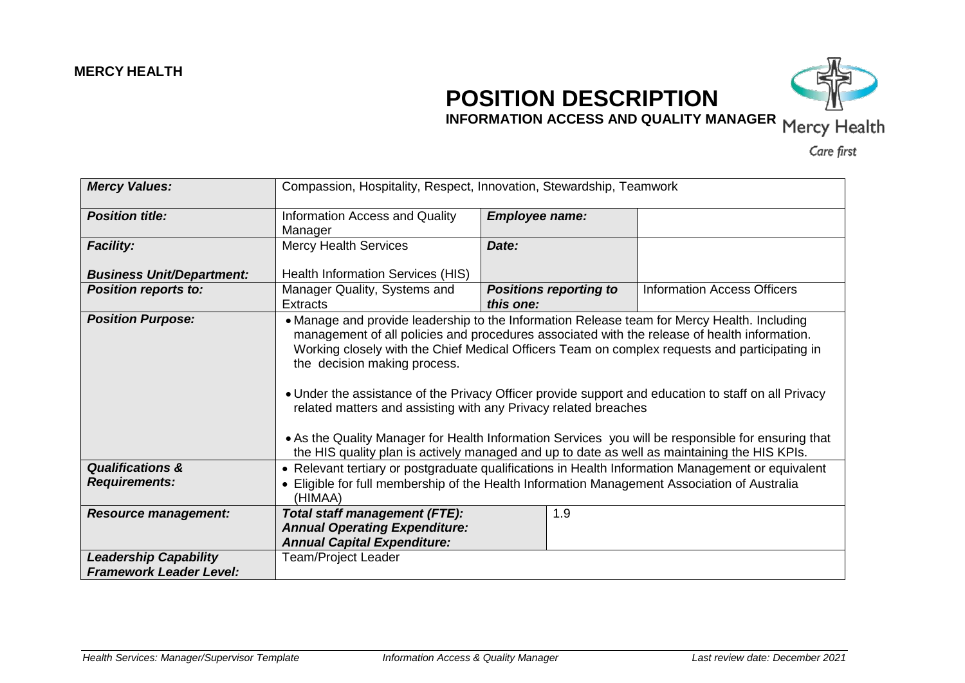## **POSITION DESCRIPTION**



**INFORMATION ACCESS AND QUALITY MANAGER** Mercy Health

Care first

| <b>Mercy Values:</b>                                           | Compassion, Hospitality, Respect, Innovation, Stewardship, Teamwork                                                                                                                                                                                                                                                                                                                                                                                                                                                                                                                                                                                                                                          |                       |                               |                                    |
|----------------------------------------------------------------|--------------------------------------------------------------------------------------------------------------------------------------------------------------------------------------------------------------------------------------------------------------------------------------------------------------------------------------------------------------------------------------------------------------------------------------------------------------------------------------------------------------------------------------------------------------------------------------------------------------------------------------------------------------------------------------------------------------|-----------------------|-------------------------------|------------------------------------|
| <b>Position title:</b>                                         | Information Access and Quality<br>Manager                                                                                                                                                                                                                                                                                                                                                                                                                                                                                                                                                                                                                                                                    | <b>Employee name:</b> |                               |                                    |
| <b>Facility:</b>                                               | <b>Mercy Health Services</b>                                                                                                                                                                                                                                                                                                                                                                                                                                                                                                                                                                                                                                                                                 | Date:                 |                               |                                    |
| <b>Business Unit/Department:</b>                               | Health Information Services (HIS)                                                                                                                                                                                                                                                                                                                                                                                                                                                                                                                                                                                                                                                                            |                       |                               |                                    |
| <b>Position reports to:</b>                                    | Manager Quality, Systems and<br><b>Extracts</b>                                                                                                                                                                                                                                                                                                                                                                                                                                                                                                                                                                                                                                                              | this one:             | <b>Positions reporting to</b> | <b>Information Access Officers</b> |
| <b>Position Purpose:</b>                                       | • Manage and provide leadership to the Information Release team for Mercy Health. Including<br>management of all policies and procedures associated with the release of health information.<br>Working closely with the Chief Medical Officers Team on complex requests and participating in<br>the decision making process.<br>• Under the assistance of the Privacy Officer provide support and education to staff on all Privacy<br>related matters and assisting with any Privacy related breaches<br>• As the Quality Manager for Health Information Services you will be responsible for ensuring that<br>the HIS quality plan is actively managed and up to date as well as maintaining the HIS KPIs. |                       |                               |                                    |
| <b>Qualifications &amp;</b>                                    | • Relevant tertiary or postgraduate qualifications in Health Information Management or equivalent                                                                                                                                                                                                                                                                                                                                                                                                                                                                                                                                                                                                            |                       |                               |                                    |
| <b>Requirements:</b>                                           | • Eligible for full membership of the Health Information Management Association of Australia<br>(HIMAA)                                                                                                                                                                                                                                                                                                                                                                                                                                                                                                                                                                                                      |                       |                               |                                    |
| <b>Resource management:</b>                                    | <b>Total staff management (FTE):</b>                                                                                                                                                                                                                                                                                                                                                                                                                                                                                                                                                                                                                                                                         |                       | 1.9                           |                                    |
|                                                                | <b>Annual Operating Expenditure:</b>                                                                                                                                                                                                                                                                                                                                                                                                                                                                                                                                                                                                                                                                         |                       |                               |                                    |
|                                                                | <b>Annual Capital Expenditure:</b>                                                                                                                                                                                                                                                                                                                                                                                                                                                                                                                                                                                                                                                                           |                       |                               |                                    |
| <b>Leadership Capability</b><br><b>Framework Leader Level:</b> | Team/Project Leader                                                                                                                                                                                                                                                                                                                                                                                                                                                                                                                                                                                                                                                                                          |                       |                               |                                    |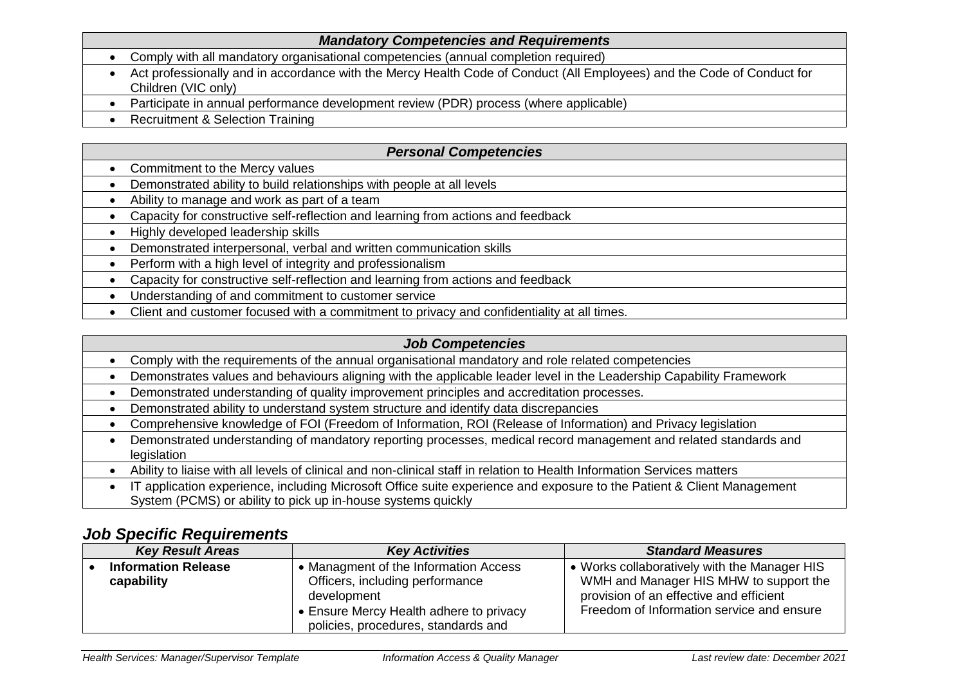|                                     | <b>Mandatory Competencies and Requirements</b>                                                                                                |
|-------------------------------------|-----------------------------------------------------------------------------------------------------------------------------------------------|
| $\bullet$                           | Comply with all mandatory organisational competencies (annual completion required)                                                            |
| $\bullet$                           | Act professionally and in accordance with the Mercy Health Code of Conduct (All Employees) and the Code of Conduct for<br>Children (VIC only) |
|                                     | Participate in annual performance development review (PDR) process (where applicable)                                                         |
| $\bullet$                           | <b>Recruitment &amp; Selection Training</b>                                                                                                   |
|                                     |                                                                                                                                               |
|                                     |                                                                                                                                               |
|                                     | <b>Personal Competencies</b>                                                                                                                  |
|                                     | Commitment to the Mercy values                                                                                                                |
|                                     | Demonstrated ability to build relationships with people at all levels                                                                         |
|                                     | Ability to manage and work as part of a team                                                                                                  |
| $\bullet$<br>$\bullet$<br>$\bullet$ | Capacity for constructive self-reflection and learning from actions and feedback                                                              |

- Demonstrated interpersonal, verbal and written communication skills
- Perform with a high level of integrity and professionalism
- Capacity for constructive self-reflection and learning from actions and feedback
- Understanding of and commitment to customer service
- Client and customer focused with a commitment to privacy and confidentiality at all times.

## *Job Competencies*

- Comply with the requirements of the annual organisational mandatory and role related competencies
- Demonstrates values and behaviours aligning with the applicable leader level in the Leadership Capability Framework
- Demonstrated understanding of quality improvement principles and accreditation processes.
- Demonstrated ability to understand system structure and identify data discrepancies
- Comprehensive knowledge of FOI (Freedom of Information, ROI (Release of Information) and Privacy legislation
- Demonstrated understanding of mandatory reporting processes, medical record management and related standards and legislation
- Ability to liaise with all levels of clinical and non-clinical staff in relation to Health Information Services matters

 IT application experience, including Microsoft Office suite experience and exposure to the Patient & Client Management System (PCMS) or ability to pick up in-house systems quickly

## *Job Specific Requirements*

| <b>Key Result Areas</b>                  | <b>Key Activities</b>                                                                                                                                                     | <b>Standard Measures</b>                                                                                                                                                       |
|------------------------------------------|---------------------------------------------------------------------------------------------------------------------------------------------------------------------------|--------------------------------------------------------------------------------------------------------------------------------------------------------------------------------|
| <b>Information Release</b><br>capability | • Managment of the Information Access<br>Officers, including performance<br>development<br>• Ensure Mercy Health adhere to privacy<br>policies, procedures, standards and | • Works collaboratively with the Manager HIS<br>WMH and Manager HIS MHW to support the<br>provision of an effective and efficient<br>Freedom of Information service and ensure |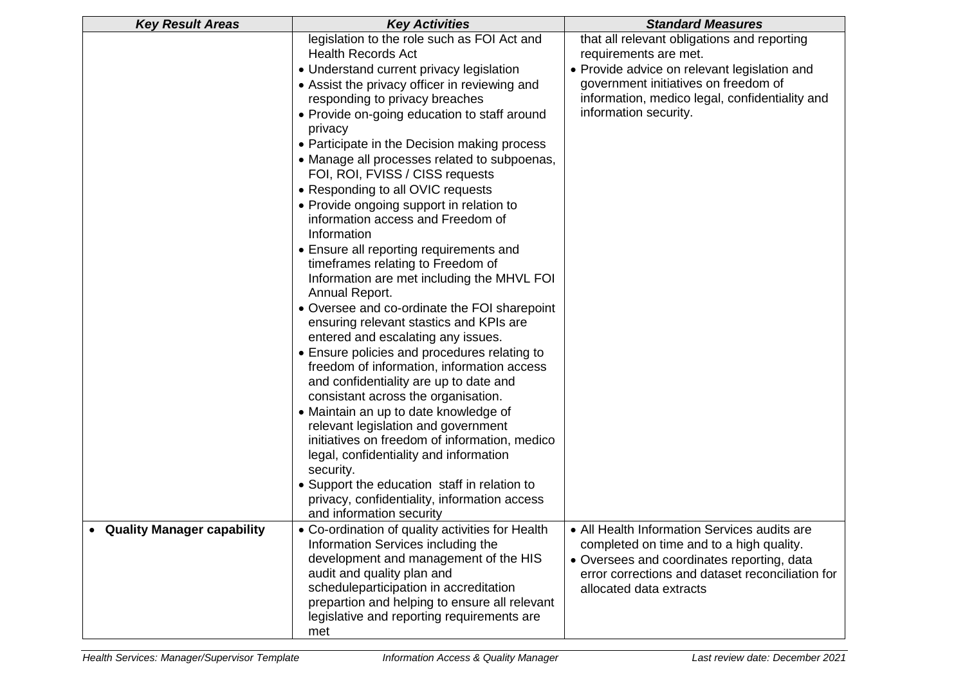| <b>Key Result Areas</b>           | <b>Key Activities</b>                                                                                                                                                                                                                                                                                                                                                                                                                                                                                                                                                                                                                                                                                                                                                                                                                                                                                                                                                                                                                                                                                                                                                                                                                                                                              | <b>Standard Measures</b>                                                                                                                                                                                                                |  |
|-----------------------------------|----------------------------------------------------------------------------------------------------------------------------------------------------------------------------------------------------------------------------------------------------------------------------------------------------------------------------------------------------------------------------------------------------------------------------------------------------------------------------------------------------------------------------------------------------------------------------------------------------------------------------------------------------------------------------------------------------------------------------------------------------------------------------------------------------------------------------------------------------------------------------------------------------------------------------------------------------------------------------------------------------------------------------------------------------------------------------------------------------------------------------------------------------------------------------------------------------------------------------------------------------------------------------------------------------|-----------------------------------------------------------------------------------------------------------------------------------------------------------------------------------------------------------------------------------------|--|
|                                   | legislation to the role such as FOI Act and<br><b>Health Records Act</b><br>• Understand current privacy legislation<br>• Assist the privacy officer in reviewing and<br>responding to privacy breaches<br>• Provide on-going education to staff around<br>privacy<br>• Participate in the Decision making process<br>• Manage all processes related to subpoenas,<br>FOI, ROI, FVISS / CISS requests<br>• Responding to all OVIC requests<br>• Provide ongoing support in relation to<br>information access and Freedom of<br>Information<br>• Ensure all reporting requirements and<br>timeframes relating to Freedom of<br>Information are met including the MHVL FOI<br>Annual Report.<br>• Oversee and co-ordinate the FOI sharepoint<br>ensuring relevant stastics and KPIs are<br>entered and escalating any issues.<br>• Ensure policies and procedures relating to<br>freedom of information, information access<br>and confidentiality are up to date and<br>consistant across the organisation.<br>• Maintain an up to date knowledge of<br>relevant legislation and government<br>initiatives on freedom of information, medico<br>legal, confidentiality and information<br>security.<br>• Support the education staff in relation to<br>privacy, confidentiality, information access | that all relevant obligations and reporting<br>requirements are met.<br>• Provide advice on relevant legislation and<br>government initiatives on freedom of<br>information, medico legal, confidentiality and<br>information security. |  |
|                                   | and information security                                                                                                                                                                                                                                                                                                                                                                                                                                                                                                                                                                                                                                                                                                                                                                                                                                                                                                                                                                                                                                                                                                                                                                                                                                                                           |                                                                                                                                                                                                                                         |  |
| <b>Quality Manager capability</b> | • Co-ordination of quality activities for Health<br>Information Services including the<br>development and management of the HIS<br>audit and quality plan and<br>scheduleparticipation in accreditation<br>prepartion and helping to ensure all relevant<br>legislative and reporting requirements are<br>met                                                                                                                                                                                                                                                                                                                                                                                                                                                                                                                                                                                                                                                                                                                                                                                                                                                                                                                                                                                      | • All Health Information Services audits are<br>completed on time and to a high quality.<br>• Oversees and coordinates reporting, data<br>error corrections and dataset reconciliation for<br>allocated data extracts                   |  |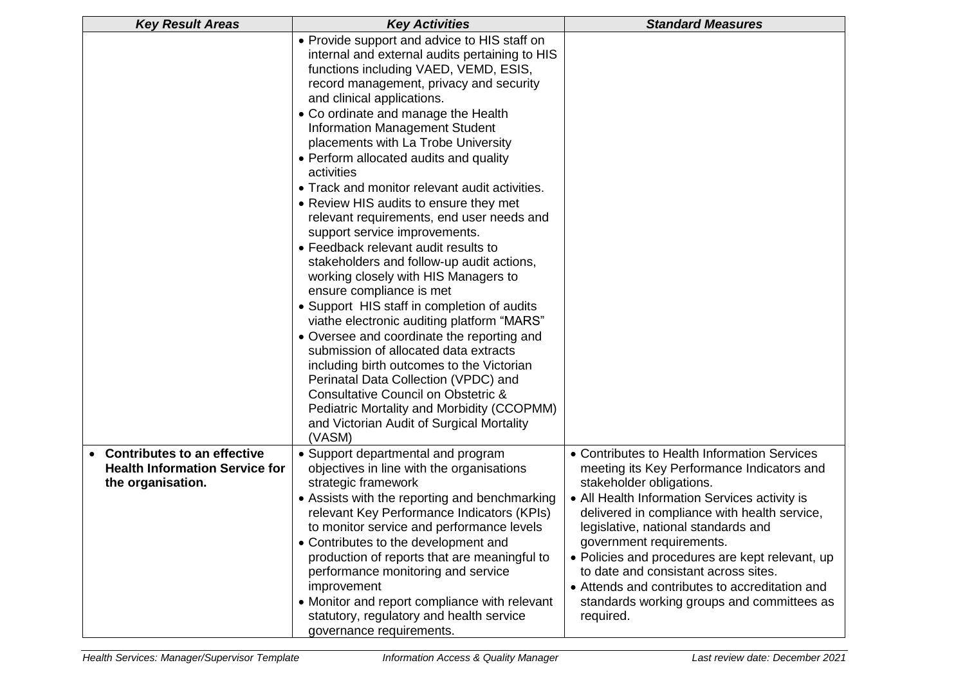| <b>Key Result Areas</b><br><b>Key Activities</b>                                            |                                                                                                                                                                                                                                                                                                                                                                                                                                                                                                                                                                                                                                                                                                                                                                                                                                                                                                                                                                                                                                                                                                                                                         | <b>Standard Measures</b>                                                                                                                                                                                                                                                                                                                                                                                                                                                                           |  |  |
|---------------------------------------------------------------------------------------------|---------------------------------------------------------------------------------------------------------------------------------------------------------------------------------------------------------------------------------------------------------------------------------------------------------------------------------------------------------------------------------------------------------------------------------------------------------------------------------------------------------------------------------------------------------------------------------------------------------------------------------------------------------------------------------------------------------------------------------------------------------------------------------------------------------------------------------------------------------------------------------------------------------------------------------------------------------------------------------------------------------------------------------------------------------------------------------------------------------------------------------------------------------|----------------------------------------------------------------------------------------------------------------------------------------------------------------------------------------------------------------------------------------------------------------------------------------------------------------------------------------------------------------------------------------------------------------------------------------------------------------------------------------------------|--|--|
|                                                                                             | • Provide support and advice to HIS staff on<br>internal and external audits pertaining to HIS<br>functions including VAED, VEMD, ESIS,<br>record management, privacy and security<br>and clinical applications.<br>• Co ordinate and manage the Health<br><b>Information Management Student</b><br>placements with La Trobe University<br>• Perform allocated audits and quality<br>activities<br>• Track and monitor relevant audit activities.<br>• Review HIS audits to ensure they met<br>relevant requirements, end user needs and<br>support service improvements.<br>• Feedback relevant audit results to<br>stakeholders and follow-up audit actions,<br>working closely with HIS Managers to<br>ensure compliance is met<br>• Support HIS staff in completion of audits<br>viathe electronic auditing platform "MARS"<br>• Oversee and coordinate the reporting and<br>submission of allocated data extracts<br>including birth outcomes to the Victorian<br>Perinatal Data Collection (VPDC) and<br>Consultative Council on Obstetric &<br>Pediatric Mortality and Morbidity (CCOPMM)<br>and Victorian Audit of Surgical Mortality<br>(VASM) |                                                                                                                                                                                                                                                                                                                                                                                                                                                                                                    |  |  |
| • Contributes to an effective<br><b>Health Information Service for</b><br>the organisation. | • Support departmental and program<br>objectives in line with the organisations<br>strategic framework<br>• Assists with the reporting and benchmarking<br>relevant Key Performance Indicators (KPIs)<br>to monitor service and performance levels<br>• Contributes to the development and<br>production of reports that are meaningful to<br>performance monitoring and service<br>improvement<br>• Monitor and report compliance with relevant<br>statutory, regulatory and health service<br>governance requirements.                                                                                                                                                                                                                                                                                                                                                                                                                                                                                                                                                                                                                                | • Contributes to Health Information Services<br>meeting its Key Performance Indicators and<br>stakeholder obligations.<br>• All Health Information Services activity is<br>delivered in compliance with health service,<br>legislative, national standards and<br>government requirements.<br>· Policies and procedures are kept relevant, up<br>to date and consistant across sites.<br>• Attends and contributes to accreditation and<br>standards working groups and committees as<br>required. |  |  |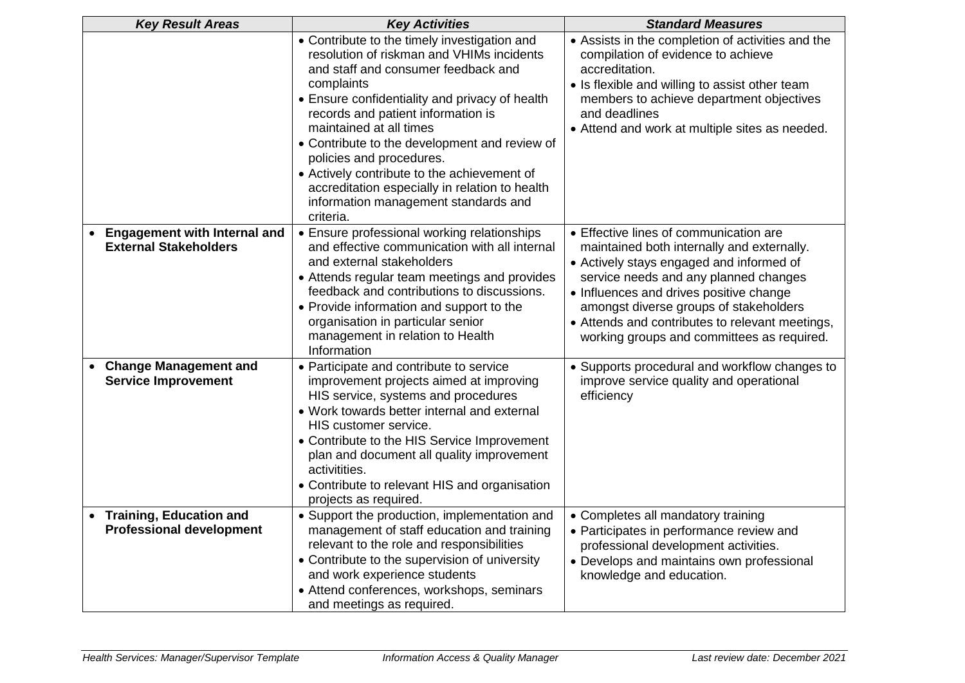| <b>Key Result Areas</b>                                                 | <b>Key Activities</b>                                                                                                                                                                                                                                                                                                                                                                                                                                                                                | <b>Standard Measures</b>                                                                                                                                                                                                                                                                                                                                        |  |
|-------------------------------------------------------------------------|------------------------------------------------------------------------------------------------------------------------------------------------------------------------------------------------------------------------------------------------------------------------------------------------------------------------------------------------------------------------------------------------------------------------------------------------------------------------------------------------------|-----------------------------------------------------------------------------------------------------------------------------------------------------------------------------------------------------------------------------------------------------------------------------------------------------------------------------------------------------------------|--|
|                                                                         | • Contribute to the timely investigation and<br>resolution of riskman and VHIMs incidents<br>and staff and consumer feedback and<br>complaints<br>• Ensure confidentiality and privacy of health<br>records and patient information is<br>maintained at all times<br>• Contribute to the development and review of<br>policies and procedures.<br>• Actively contribute to the achievement of<br>accreditation especially in relation to health<br>information management standards and<br>criteria. | • Assists in the completion of activities and the<br>compilation of evidence to achieve<br>accreditation.<br>• Is flexible and willing to assist other team<br>members to achieve department objectives<br>and deadlines<br>• Attend and work at multiple sites as needed.                                                                                      |  |
| <b>Engagement with Internal and</b><br><b>External Stakeholders</b>     | • Ensure professional working relationships<br>and effective communication with all internal<br>and external stakeholders<br>• Attends regular team meetings and provides<br>feedback and contributions to discussions.<br>• Provide information and support to the<br>organisation in particular senior<br>management in relation to Health<br>Information                                                                                                                                          | • Effective lines of communication are<br>maintained both internally and externally.<br>• Actively stays engaged and informed of<br>service needs and any planned changes<br>• Influences and drives positive change<br>amongst diverse groups of stakeholders<br>• Attends and contributes to relevant meetings,<br>working groups and committees as required. |  |
| <b>Change Management and</b><br>$\bullet$<br><b>Service Improvement</b> | • Participate and contribute to service<br>improvement projects aimed at improving<br>HIS service, systems and procedures<br>• Work towards better internal and external<br>HIS customer service.<br>• Contribute to the HIS Service Improvement<br>plan and document all quality improvement<br>activitities.<br>• Contribute to relevant HIS and organisation<br>projects as required.                                                                                                             | • Supports procedural and workflow changes to<br>improve service quality and operational<br>efficiency                                                                                                                                                                                                                                                          |  |
| <b>Training, Education and</b><br><b>Professional development</b>       | • Support the production, implementation and<br>management of staff education and training<br>relevant to the role and responsibilities<br>• Contribute to the supervision of university<br>and work experience students<br>• Attend conferences, workshops, seminars<br>and meetings as required.                                                                                                                                                                                                   | • Completes all mandatory training<br>• Participates in performance review and<br>professional development activities.<br>• Develops and maintains own professional<br>knowledge and education.                                                                                                                                                                 |  |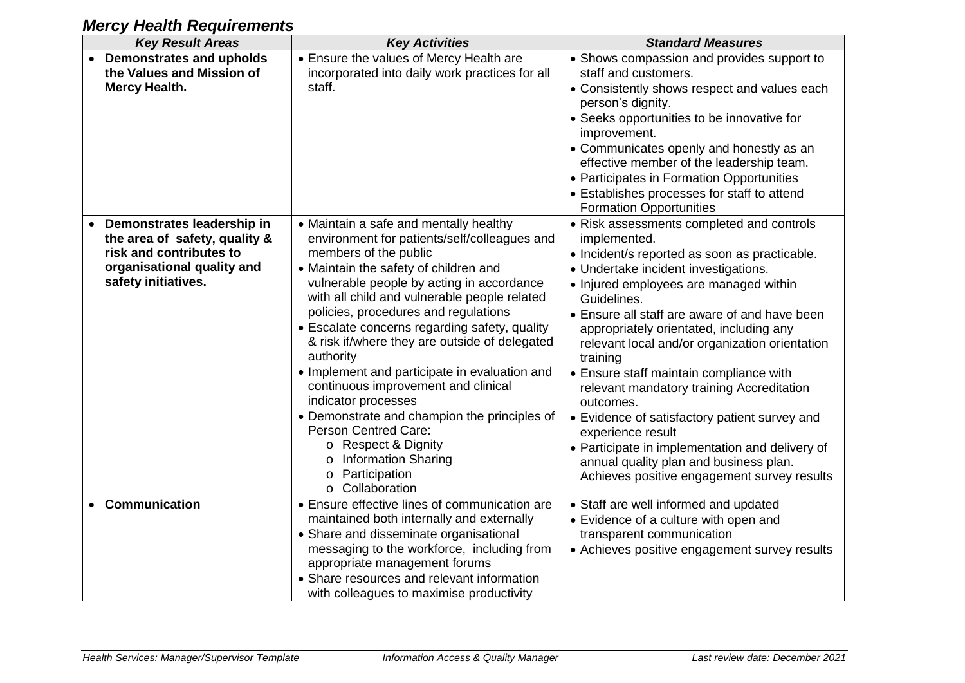| <b>Key Result Areas</b>                                                                                                                     | <b>Key Activities</b>                                                                                                                                                                                                                                                                                                                                                                                                                                                                                                                                                                                                                                                                                            | <b>Standard Measures</b>                                                                                                                                                                                                                                                                                                                                                                                                                                                                                                                                                                                                                                                                     |
|---------------------------------------------------------------------------------------------------------------------------------------------|------------------------------------------------------------------------------------------------------------------------------------------------------------------------------------------------------------------------------------------------------------------------------------------------------------------------------------------------------------------------------------------------------------------------------------------------------------------------------------------------------------------------------------------------------------------------------------------------------------------------------------------------------------------------------------------------------------------|----------------------------------------------------------------------------------------------------------------------------------------------------------------------------------------------------------------------------------------------------------------------------------------------------------------------------------------------------------------------------------------------------------------------------------------------------------------------------------------------------------------------------------------------------------------------------------------------------------------------------------------------------------------------------------------------|
| <b>Demonstrates and upholds</b><br>the Values and Mission of<br><b>Mercy Health.</b>                                                        | • Ensure the values of Mercy Health are<br>incorporated into daily work practices for all<br>staff.                                                                                                                                                                                                                                                                                                                                                                                                                                                                                                                                                                                                              | • Shows compassion and provides support to<br>staff and customers.<br>• Consistently shows respect and values each<br>person's dignity.<br>• Seeks opportunities to be innovative for<br>improvement.<br>• Communicates openly and honestly as an<br>effective member of the leadership team.<br>• Participates in Formation Opportunities<br>• Establishes processes for staff to attend<br><b>Formation Opportunities</b>                                                                                                                                                                                                                                                                  |
| Demonstrates leadership in<br>the area of safety, quality &<br>risk and contributes to<br>organisational quality and<br>safety initiatives. | • Maintain a safe and mentally healthy<br>environment for patients/self/colleagues and<br>members of the public<br>• Maintain the safety of children and<br>vulnerable people by acting in accordance<br>with all child and vulnerable people related<br>policies, procedures and regulations<br>• Escalate concerns regarding safety, quality<br>& risk if/where they are outside of delegated<br>authority<br>• Implement and participate in evaluation and<br>continuous improvement and clinical<br>indicator processes<br>• Demonstrate and champion the principles of<br><b>Person Centred Care:</b><br>o Respect & Dignity<br><b>Information Sharing</b><br>0<br>Participation<br>o<br>Collaboration<br>O | • Risk assessments completed and controls<br>implemented.<br>• Incident/s reported as soon as practicable.<br>• Undertake incident investigations.<br>• Injured employees are managed within<br>Guidelines.<br>• Ensure all staff are aware of and have been<br>appropriately orientated, including any<br>relevant local and/or organization orientation<br>training<br>• Ensure staff maintain compliance with<br>relevant mandatory training Accreditation<br>outcomes.<br>• Evidence of satisfactory patient survey and<br>experience result<br>• Participate in implementation and delivery of<br>annual quality plan and business plan.<br>Achieves positive engagement survey results |
| Communication                                                                                                                               | • Ensure effective lines of communication are<br>maintained both internally and externally<br>• Share and disseminate organisational<br>messaging to the workforce, including from<br>appropriate management forums<br>• Share resources and relevant information<br>with colleagues to maximise productivity                                                                                                                                                                                                                                                                                                                                                                                                    | • Staff are well informed and updated<br>• Evidence of a culture with open and<br>transparent communication<br>• Achieves positive engagement survey results                                                                                                                                                                                                                                                                                                                                                                                                                                                                                                                                 |

## *Mercy Health Requirements*